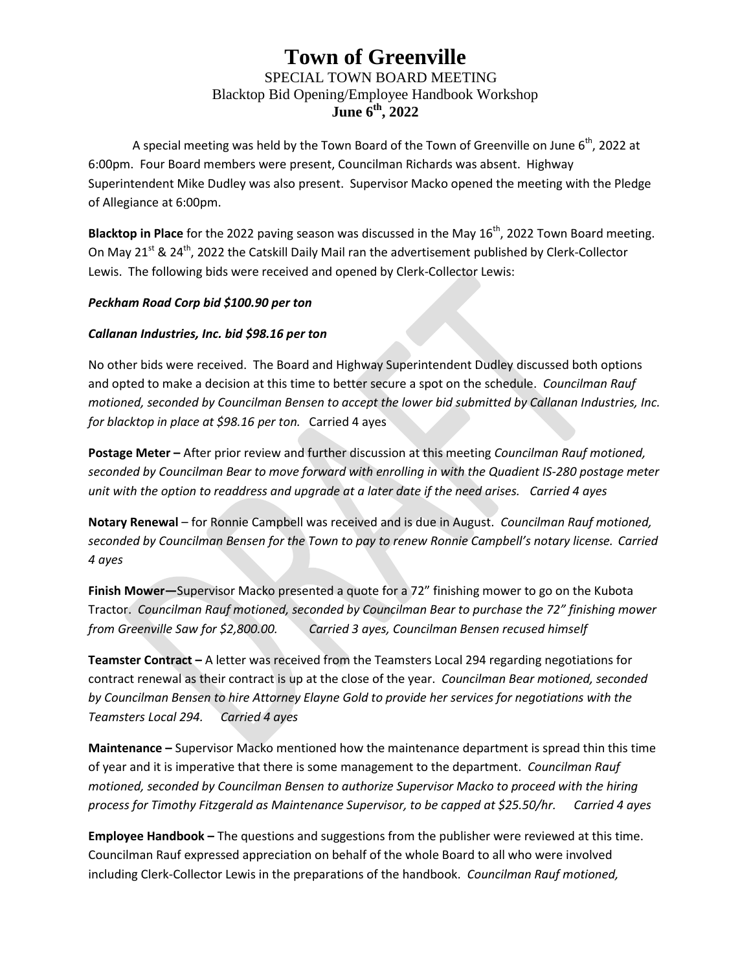## **Town of Greenville** SPECIAL TOWN BOARD MEETING Blacktop Bid Opening/Employee Handbook Workshop **June 6 th, 2022**

A special meeting was held by the Town Board of the Town of Greenville on June  $6<sup>th</sup>$ , 2022 at 6:00pm. Four Board members were present, Councilman Richards was absent. Highway Superintendent Mike Dudley was also present. Supervisor Macko opened the meeting with the Pledge of Allegiance at 6:00pm.

Blacktop in Place for the 2022 paving season was discussed in the May 16<sup>th</sup>, 2022 Town Board meeting. On May  $21^{st}$  &  $24^{th}$ , 2022 the Catskill Daily Mail ran the advertisement published by Clerk-Collector Lewis. The following bids were received and opened by Clerk-Collector Lewis:

## *Peckham Road Corp bid \$100.90 per ton*

## *Callanan Industries, Inc. bid \$98.16 per ton*

No other bids were received. The Board and Highway Superintendent Dudley discussed both options and opted to make a decision at this time to better secure a spot on the schedule. *Councilman Rauf motioned, seconded by Councilman Bensen to accept the lower bid submitted by Callanan Industries, Inc. for blacktop in place at \$98.16 per ton.* Carried 4 ayes

**Postage Meter –** After prior review and further discussion at this meeting *Councilman Rauf motioned, seconded by Councilman Bear to move forward with enrolling in with the Quadient IS-280 postage meter unit with the option to readdress and upgrade at a later date if the need arises. Carried 4 ayes*

**Notary Renewal** – for Ronnie Campbell was received and is due in August. *Councilman Rauf motioned, seconded by Councilman Bensen for the Town to pay to renew Ronnie Campbell's notary license. Carried 4 ayes*

**Finish Mower—**Supervisor Macko presented a quote for a 72" finishing mower to go on the Kubota Tractor. *Councilman Rauf motioned, seconded by Councilman Bear to purchase the 72" finishing mower from Greenville Saw for \$2,800.00. Carried 3 ayes, Councilman Bensen recused himself*

**Teamster Contract –** A letter was received from the Teamsters Local 294 regarding negotiations for contract renewal as their contract is up at the close of the year. *Councilman Bear motioned, seconded by Councilman Bensen to hire Attorney Elayne Gold to provide her services for negotiations with the Teamsters Local 294. Carried 4 ayes*

**Maintenance –** Supervisor Macko mentioned how the maintenance department is spread thin this time of year and it is imperative that there is some management to the department. *Councilman Rauf motioned, seconded by Councilman Bensen to authorize Supervisor Macko to proceed with the hiring process for Timothy Fitzgerald as Maintenance Supervisor, to be capped at \$25.50/hr. Carried 4 ayes*

**Employee Handbook –** The questions and suggestions from the publisher were reviewed at this time. Councilman Rauf expressed appreciation on behalf of the whole Board to all who were involved including Clerk-Collector Lewis in the preparations of the handbook. *Councilman Rauf motioned,*